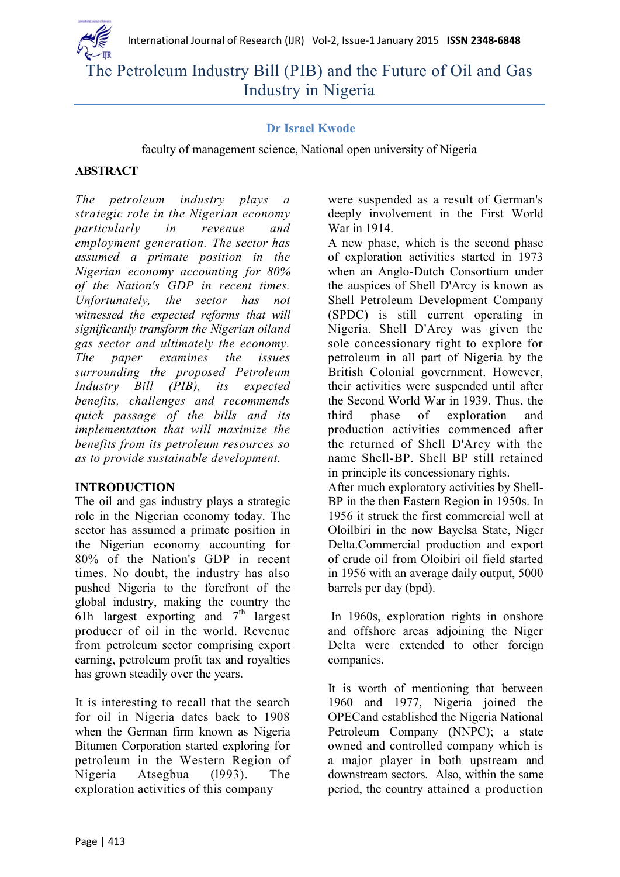

# The Petroleum Industry Bill (PIB) and the Future of Oil and Gas Industry in Nigeria

## **Dr Israel Kwode**

faculty of management science, National open university of Nigeria

## **ABSTRACT**

*The petroleum industry plays a strategic role in the Nigerian economy particularly in revenue and employment generation. The sector has assumed a primate position in the Nigerian economy accounting for 80% of the Nation's GDP in recent times. Unfortunately, the sector has not witnessed the expected reforms that will significantly transform the Nigerian oiland gas sector and ultimately the economy. The paper examines the issues surrounding the proposed Petroleum Industry Bill (PIB), its expected benefits, challenges and recommends quick passage of the bills and its implementation that will maximize the benefits from its petroleum resources so as to provide sustainable development.*

#### **INTRODUCTION**

The oil and gas industry plays a strategic role in the Nigerian economy today. The sector has assumed a primate position in the Nigerian economy accounting for 80% of the Nation's GDP in recent times. No doubt, the industry has also pushed Nigeria to the forefront of the global industry, making the country the 61h largest exporting and  $7<sup>th</sup>$  largest producer of oil in the world. Revenue from petroleum sector comprising export earning, petroleum profit tax and royalties has grown steadily over the years.

It is interesting to recall that the search for oil in Nigeria dates back to 1908 when the German firm known as Nigeria Bitumen Corporation started exploring for petroleum in the Western Region of Nigeria Atsegbua (l993). The exploration activities of this company

were suspended as a result of German's deeply involvement in the First World War in 1914.

A new phase, which is the second phase of exploration activities started in 1973 when an Anglo-Dutch Consortium under the auspices of Shell D'Arcy is known as Shell Petroleum Development Company (SPDC) is still current operating in Nigeria. Shell D'Arcy was given the sole concessionary right to explore for petroleum in all part of Nigeria by the British Colonial government. However, their activities were suspended until after the Second World War in 1939. Thus, the third phase of exploration and production activities commenced after the returned of Shell D'Arcy with the name Shell-BP. Shell BP still retained in principle its concessionary rights. After much exploratory activities by Shell-BP in the then Eastern Region in 1950s. In 1956 it struck the first commercial well at Oloilbiri in the now Bayelsa State, Niger Delta.Commercial production and export of crude oil from Oloibiri oil field started in 1956 with an average daily output, 5000 barrels per day (bpd).

In 1960s, exploration rights in onshore and offshore areas adjoining the Niger Delta were extended to other foreign companies.

It is worth of mentioning that between 1960 and 1977, Nigeria joined the OPECand established the Nigeria National Petroleum Company (NNPC); a state owned and controlled company which is a major player in both upstream and downstream sectors. Also, within the same period, the country attained a production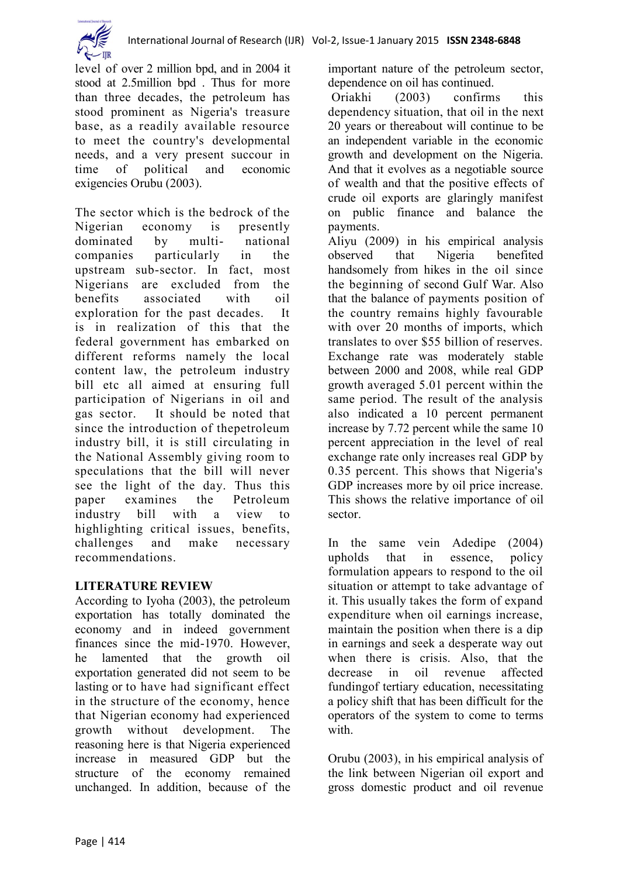

level of over 2 million bpd, and in 2004 it stood at 2.5million bpd . Thus for more than three decades, the petroleum has stood prominent as Nigeria's treasure base, as a readily available resource to meet the country's developmental needs, and a very present succour in time of political and economic exigencies Orubu (2003).

The sector which is the bedrock of the Nigerian economy is presently dominated by multi- national companies particularly in the upstream sub-sector. In fact, most Nigerians are excluded from the benefits associated with oil exploration for the past decades. It is in realization of this that the federal government has embarked on different reforms namely the local content law, the petroleum industry bill etc all aimed at ensuring full participation of Nigerians in oil and gas sector. It should be noted that since the introduction of thepetroleum industry bill, it is still circulating in the National Assembly giving room to speculations that the bill will never see the light of the day. Thus this paper examines the Petroleum industry bill with a view to highlighting critical issues, benefits, challenges and make necessary recommendations.

# **LITERATURE REVIEW**

According to Iyoha (2003), the petroleum exportation has totally dominated the economy and in indeed government finances since the mid-1970. However, he lamented that the growth oil exportation generated did not seem to be lasting or to have had significant effect in the structure of the economy, hence that Nigerian economy had experienced growth without development. The reasoning here is that Nigeria experienced increase in measured GDP but the structure of the economy remained unchanged. In addition, because of the

important nature of the petroleum sector, dependence on oil has continued.

Oriakhi (2003) confirms this dependency situation, that oil in the next 20 years or thereabout will continue to be an independent variable in the economic growth and development on the Nigeria. And that it evolves as a negotiable source of wealth and that the positive effects of crude oil exports are glaringly manifest on public finance and balance the payments.

Aliyu (2009) in his empirical analysis observed that Nigeria benefited handsomely from hikes in the oil since the beginning of second Gulf War. Also that the balance of payments position of the country remains highly favourable with over 20 months of imports, which translates to over \$55 billion of reserves. Exchange rate was moderately stable between 2000 and 2008, while real GDP growth averaged 5.01 percent within the same period. The result of the analysis also indicated a 10 percent permanent increase by 7.72 percent while the same 10 percent appreciation in the level of real exchange rate only increases real GDP by 0.35 percent. This shows that Nigeria's GDP increases more by oil price increase. This shows the relative importance of oil sector.

In the same vein Adedipe (2004) upholds that in essence, policy formulation appears to respond to the oil situation or attempt to take advantage of it. This usually takes the form of expand expenditure when oil earnings increase, maintain the position when there is a dip in earnings and seek a desperate way out when there is crisis. Also, that the decrease in oil revenue affected fundingof tertiary education, necessitating a policy shift that has been difficult for the operators of the system to come to terms with.

Orubu (2003), in his empirical analysis of the link between Nigerian oil export and gross domestic product and oil revenue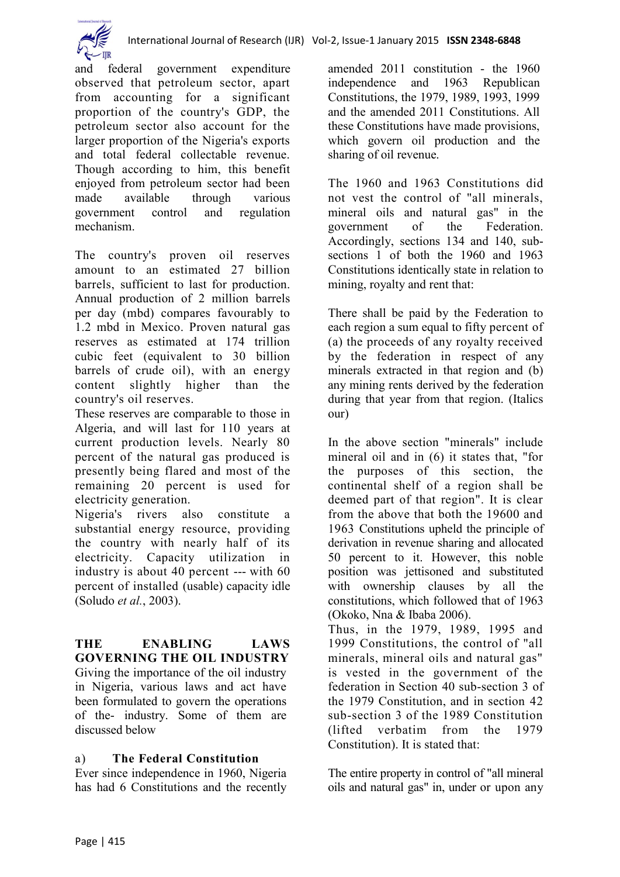

and federal government expenditure observed that petroleum sector, apart from accounting for a significant proportion of the country's GDP, the petroleum sector also account for the larger proportion of the Nigeria's exports and total federal collectable revenue. Though according to him, this benefit enjoyed from petroleum sector had been made available through various government control and regulation mechanism.

The country's proven oil reserves amount to an estimated 27 billion barrels, sufficient to last for production. Annual production of 2 million barrels per day (mbd) compares favourably to 1.2 mbd in Mexico. Proven natural gas reserves as estimated at 174 trillion cubic feet (equivalent to 30 billion barrels of crude oil), with an energy content slightly higher than the country's oil reserves.

These reserves are comparable to those in Algeria, and will last for 110 years at current production levels. Nearly 80 percent of the natural gas produced is presently being flared and most of the remaining 20 percent is used for electricity generation.

Nigeria's rivers also constitute a substantial energy resource, providing the country with nearly half of its electricity. Capacity utilization in industry is about 40 percent --- with 60 percent of installed (usable) capacity idle (Soludo *et al.*, 2003).

**THE ENABLING LAWS GOVERNING THE OIL INDUSTRY** Giving the importance of the oil industry in Nigeria, various laws and act have been formulated to govern the operations of the- industry. Some of them are discussed below

# a) **The Federal Constitution**

Ever since independence in 1960, Nigeria has had 6 Constitutions and the recently

amended 2011 constitution - the 1960 independence and 1963 Republican Constitutions, the 1979, 1989, 1993, 1999 and the amended 2011 Constitutions. All these Constitutions have made provisions, which govern oil production and the sharing of oil revenue.

The 1960 and 1963 Constitutions did not vest the control of "all minerals, mineral oils and natural gas" in the government of the Federation. Accordingly, sections 134 and 140, subsections 1 of both the 1960 and 1963 Constitutions identically state in relation to mining, royalty and rent that:

There shall be paid by the Federation to each region a sum equal to fifty percent of (a) the proceeds of any royalty received by the federation in respect of any minerals extracted in that region and (b) any mining rents derived by the federation during that year from that region. (Italics our)

In the above section "minerals" include mineral oil and in (6) it states that, "for the purposes of this section, the continental shelf of a region shall be deemed part of that region". It is clear from the above that both the 19600 and 1963 Constitutions upheld the principle of derivation in revenue sharing and allocated 50 percent to it. However, this noble position was jettisoned and substituted with ownership clauses by all the constitutions, which followed that of 1963 (Okoko, Nna & Ibaba 2006).

Thus, in the 1979, 1989, 1995 and 1999 Constitutions, the control of "all minerals, mineral oils and natural gas" is vested in the government of the federation in Section 40 sub-section 3 of the 1979 Constitution, and in section 42 sub-section 3 of the 1989 Constitution (lifted verbatim from the 1979 Constitution). It is stated that:

The entire property in control of "all mineral oils and natural gas" in, under or upon any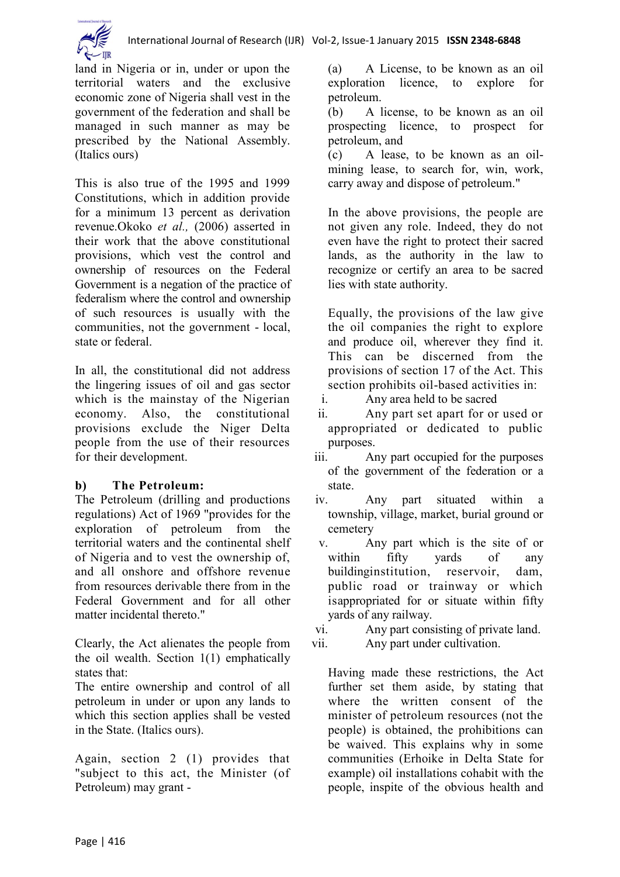

land in Nigeria or in, under or upon the territorial waters and the exclusive economic zone of Nigeria shall vest in the government of the federation and shall be managed in such manner as may be prescribed by the National Assembly. (Italics ours)

This is also true of the 1995 and 1999 Constitutions, which in addition provide for a minimum 13 percent as derivation revenue.Okoko *et al.,* (2006) asserted in their work that the above constitutional provisions, which vest the control and ownership of resources on the Federal Government is a negation of the practice of federalism where the control and ownership of such resources is usually with the communities, not the government - local, state or federal.

In all, the constitutional did not address the lingering issues of oil and gas sector which is the mainstay of the Nigerian economy. Also, the constitutional provisions exclude the Niger Delta people from the use of their resources for their development.

# **b) The Petroleum:**

The Petroleum (drilling and productions regulations) Act of 1969 "provides for the exploration of petroleum from the territorial waters and the continental shelf of Nigeria and to vest the ownership of, and all onshore and offshore revenue from resources derivable there from in the Federal Government and for all other matter incidental thereto."

Clearly, the Act alienates the people from the oil wealth. Section 1(1) emphatically states that:

The entire ownership and control of all petroleum in under or upon any lands to which this section applies shall be vested in the State. (Italics ours).

Again, section 2 (1) provides that "subject to this act, the Minister (of Petroleum) may grant -

(a) A License, to be known as an oil exploration licence, to explore for petroleum.

(b) A license, to be known as an oil prospecting licence, to prospect for petroleum, and

(c) A lease, to be known as an oilmining lease, to search for, win, work, carry away and dispose of petroleum."

In the above provisions, the people are not given any role. Indeed, they do not even have the right to protect their sacred lands, as the authority in the law to recognize or certify an area to be sacred lies with state authority.

Equally, the provisions of the law give the oil companies the right to explore and produce oil, wherever they find it. This can be discerned from the provisions of section 17 of the Act. This section prohibits oil-based activities in:

i. Any area held to be sacred

- ii. Any part set apart for or used or appropriated or dedicated to public purposes.
- iii. Any part occupied for the purposes of the government of the federation or a state.
- iv. Any part situated within a township, village, market, burial ground or cemetery
- v. Any part which is the site of or within fifty vards of any buildinginstitution, reservoir, dam, public road or trainway or which isappropriated for or situate within fifty yards of any railway.

vi. Any part consisting of private land. vii. Any part under cultivation.

Having made these restrictions, the Act further set them aside, by stating that where the written consent of the minister of petroleum resources (not the people) is obtained, the prohibitions can be waived. This explains why in some communities (Erhoike in Delta State for example) oil installations cohabit with the people, inspite of the obvious health and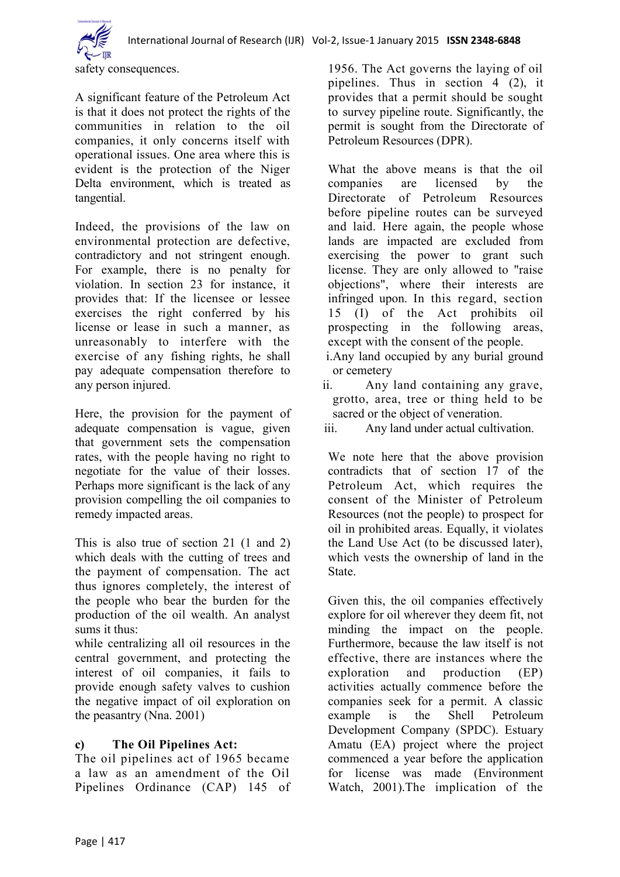

safety consequences.

A significant feature of the Petroleum Act is that it does not protect the rights of the communities in relation to the oil companies, it only concerns itself with operational issues. One area where this is evident is the protection of the Niger Delta environment, which is treated as tangential.

Indeed, the provisions of the law on environmental protection are defective, contradictory and not stringent enough. For example, there is no penalty for violation. In section 23 for instance, it provides that: If the licensee or lessee exercises the right conferred by his license or lease in such a manner, as unreasonably to interfere with the exercise of any fishing rights, he shall pay adequate compensation therefore to any person injured.

Here, the provision for the payment of adequate compensation is vague, given that government sets the compensation rates, with the people having no right to negotiate for the value of their losses. Perhaps more significant is the lack of any provision compelling the oil companies to remedy impacted areas.

This is also true of section 21 (1 and 2) which deals with the cutting of trees and the payment of compensation. The act thus ignores completely, the interest of the people who bear the burden for the production of the oil wealth. An analyst sums it thus:

while centralizing all oil resources in the central government, and protecting the interest of oil companies, it fails to provide enough safety valves to cushion the negative impact of oil exploration on the peasantry (Nna. 2001)

# **c) The Oil Pipelines Act:**

The oil pipelines act of 1965 became a law as an amendment of the Oil Pipelines Ordinance (CAP) 145 of

1956. The Act governs the laying of oil pipelines. Thus in section 4 (2), it provides that a permit should be sought to survey pipeline route. Significantly, the permit is sought from the Directorate of Petroleum Resources (DPR).

What the above means is that the oil companies are licensed by the Directorate of Petroleum Resources before pipeline routes can be surveyed and laid. Here again, the people whose lands are impacted are excluded from exercising the power to grant such license. They are only allowed to "raise objections", where their interests are infringed upon. In this regard, section 15 (I) of the Act prohibits oil prospecting in the following areas, except with the consent of the people. i.Any land occupied by any burial ground

- or cemetery
- ii. Any land containing any grave, grotto, area, tree or thing held to be sacred or the object of veneration.

We note here that the above provision contradicts that of section 17 of the Petroleum Act, which requires the consent of the Minister of Petroleum Resources (not the people) to prospect for oil in prohibited areas. Equally, it violates the Land Use Act (to be discussed later), which vests the ownership of land in the **State** 

Given this, the oil companies effectively explore for oil wherever they deem fit, not minding the impact on the people. Furthermore, because the law itself is not effective, there are instances where the exploration and production (EP) activities actually commence before the companies seek for a permit. A classic example is the Shell Petroleum Development Company (SPDC). Estuary Amatu (EA) project where the project commenced a year before the application for license was made (Environment Watch, 2001).The implication of the

iii. Any land under actual cultivation.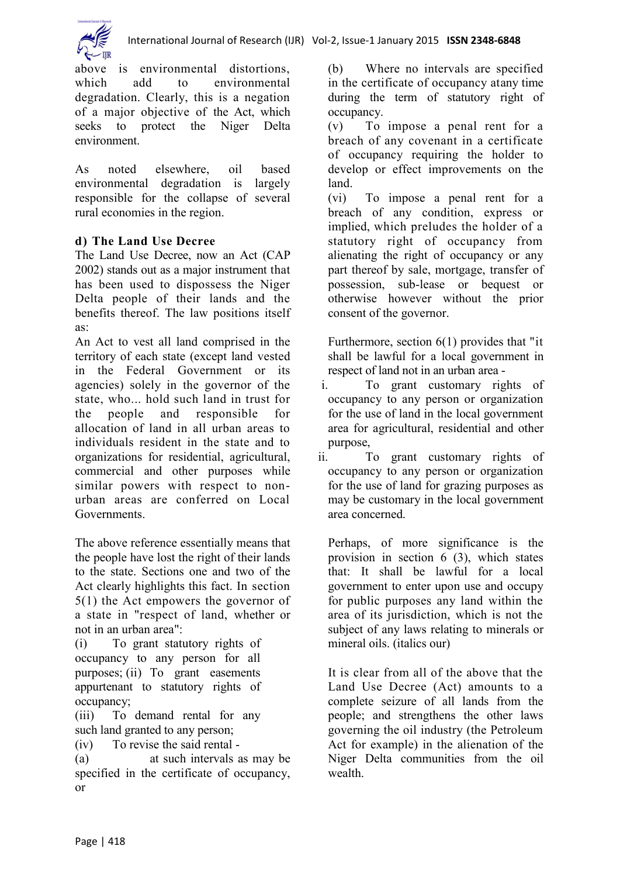

above is environmental distortions, which add to environmental degradation. Clearly, this is a negation of a major objective of the Act, which seeks to protect the Niger Delta environment.

As noted elsewhere, oil based environmental degradation is largely responsible for the collapse of several rural economies in the region.

# **d) The Land Use Decree**

The Land Use Decree, now an Act (CAP 2002) stands out as a major instrument that has been used to dispossess the Niger Delta people of their lands and the benefits thereof. The law positions itself as:

An Act to vest all land comprised in the territory of each state (except land vested in the Federal Government or its agencies) solely in the governor of the state, who... hold such land in trust for the people and responsible for allocation of land in all urban areas to individuals resident in the state and to organizations for residential, agricultural, commercial and other purposes while similar powers with respect to nonurban areas are conferred on Local Governments.

The above reference essentially means that the people have lost the right of their lands to the state. Sections one and two of the Act clearly highlights this fact. In section 5(1) the Act empowers the governor of a state in "respect of land, whether or not in an urban area":

(i) To grant statutory rights of occupancy to any person for all purposes; (ii) To grant easements appurtenant to statutory rights of occupancy;

(iii) To demand rental for any such land granted to any person;

(iv) To revise the said rental -

(a) at such intervals as may be specified in the certificate of occupancy, or

(b) Where no intervals are specified in the certificate of occupancy atany time during the term of statutory right of occupancy.

(v) To impose a penal rent for a breach of any covenant in a certificate of occupancy requiring the holder to develop or effect improvements on the land.

(vi) To impose a penal rent for a breach of any condition, express or implied, which preludes the holder of a statutory right of occupancy from alienating the right of occupancy or any part thereof by sale, mortgage, transfer of possession, sub-lease or bequest or otherwise however without the prior consent of the governor.

Furthermore, section 6(1) provides that "it shall be lawful for a local government in respect of land not in an urban area -

- i. To grant customary rights of occupancy to any person or organization for the use of land in the local government area for agricultural, residential and other purpose,
- ii. To grant customary rights of occupancy to any person or organization for the use of land for grazing purposes as may be customary in the local government area concerned.

Perhaps, of more significance is the provision in section 6 (3), which states that: It shall be lawful for a local government to enter upon use and occupy for public purposes any land within the area of its jurisdiction, which is not the subject of any laws relating to minerals or mineral oils. (italics our)

It is clear from all of the above that the Land Use Decree (Act) amounts to a complete seizure of all lands from the people; and strengthens the other laws governing the oil industry (the Petroleum Act for example) in the alienation of the Niger Delta communities from the oil wealth.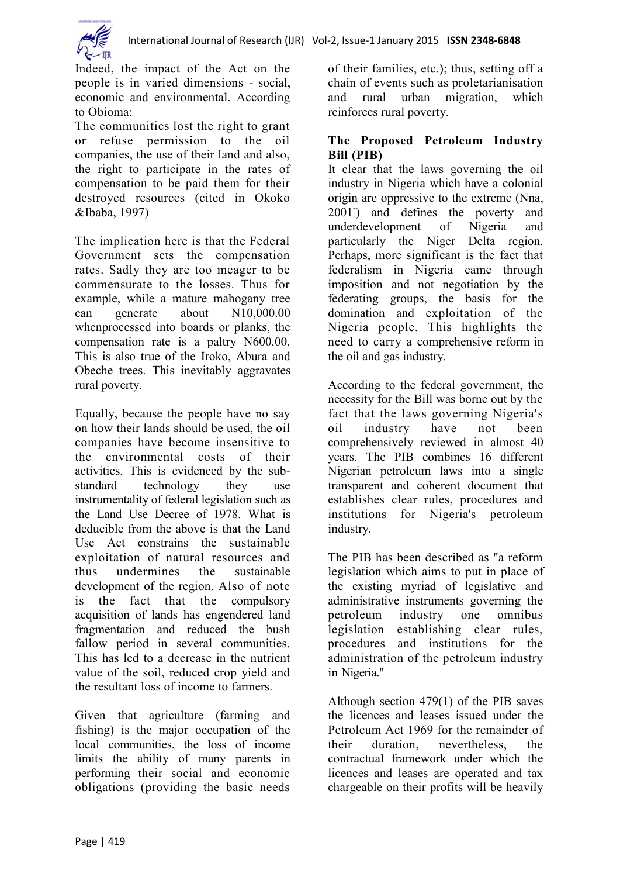

Indeed, the impact of the Act on the people is in varied dimensions - social, economic and environmental. According to Obioma:

The communities lost the right to grant or refuse permission to the oil companies, the use of their land and also, the right to participate in the rates of compensation to be paid them for their destroyed resources (cited in Okoko &Ibaba, 1997)

The implication here is that the Federal Government sets the compensation rates. Sadly they are too meager to be commensurate to the losses. Thus for example, while a mature mahogany tree can generate about N10,000.00 whenprocessed into boards or planks, the compensation rate is a paltry N600.00. This is also true of the Iroko, Abura and Obeche trees. This inevitably aggravates rural poverty.

Equally, because the people have no say on how their lands should be used, the oil companies have become insensitive to the environmental costs of their activities. This is evidenced by the substandard technology they use instrumentality of federal legislation such as the Land Use Decree of 1978. What is deducible from the above is that the Land Use Act constrains the sustainable exploitation of natural resources and thus undermines the sustainable development of the region. Also of note is the fact that the compulsory acquisition of lands has engendered land fragmentation and reduced the bush fallow period in several communities. This has led to a decrease in the nutrient value of the soil, reduced crop yield and the resultant loss of income to farmers.

Given that agriculture (farming and fishing) is the major occupation of the local communities, the loss of income limits the ability of many parents in performing their social and economic obligations (providing the basic needs

of their families, etc.); thus, setting off a chain of events such as proletarianisation and rural urban migration, which reinforces rural poverty.

# **The Proposed Petroleum Industry Bill (PIB)**

It clear that the laws governing the oil industry in Nigeria which have a colonial origin are oppressive to the extreme (Nna, 2001) and defines the poverty and underdevelopment of Nigeria and particularly the Niger Delta region. Perhaps, more significant is the fact that federalism in Nigeria came through imposition and not negotiation by the federating groups, the basis for the domination and exploitation of the Nigeria people. This highlights the need to carry a comprehensive reform in the oil and gas industry.

According to the federal government, the necessity for the Bill was borne out by the fact that the laws governing Nigeria's oil industry have not been comprehensively reviewed in almost 40 years. The PIB combines 16 different Nigerian petroleum laws into a single transparent and coherent document that establishes clear rules, procedures and institutions for Nigeria's petroleum industry.

The PIB has been described as "a reform legislation which aims to put in place of the existing myriad of legislative and administrative instruments governing the petroleum industry one omnibus legislation establishing clear rules, procedures and institutions for the administration of the petroleum industry in Nigeria."

Although section 479(1) of the PIB saves the licences and leases issued under the Petroleum Act 1969 for the remainder of their duration, nevertheless, the contractual framework under which the licences and leases are operated and tax chargeable on their profits will be heavily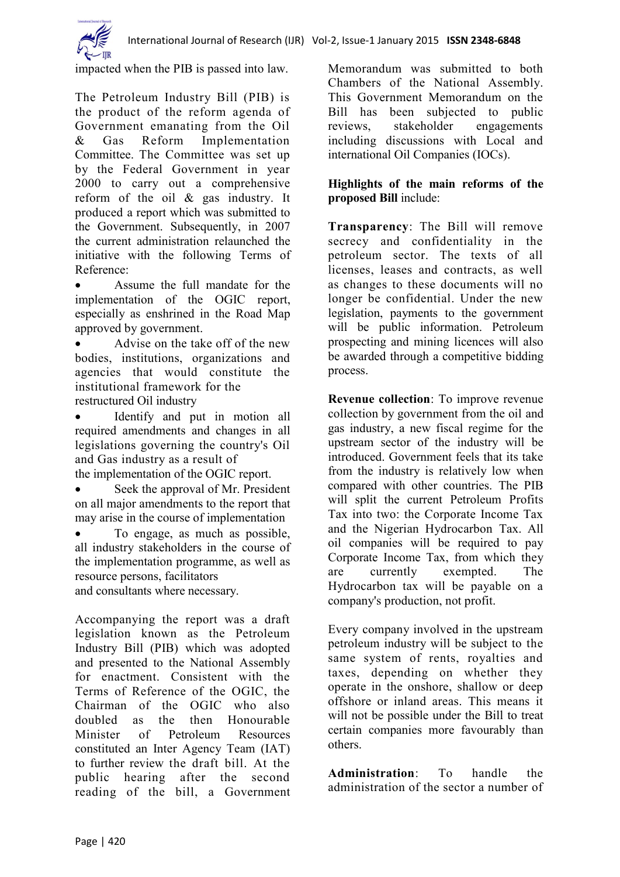

impacted when the PIB is passed into law.

The Petroleum Industry Bill (PIB) is the product of the reform agenda of Government emanating from the Oil & Gas Reform Implementation Committee. The Committee was set up by the Federal Government in year 2000 to carry out a comprehensive reform of the oil & gas industry. It produced a report which was submitted to the Government. Subsequently, in 2007 the current administration relaunched the initiative with the following Terms of Reference:

 Assume the full mandate for the implementation of the OGIC report, especially as enshrined in the Road Map approved by government.

 Advise on the take off of the new bodies, institutions, organizations and agencies that would constitute the institutional framework for the restructured Oil industry

 Identify and put in motion all required amendments and changes in all legislations governing the country's Oil and Gas industry as a result of the implementation of the OGIC report.

• Seek the approval of Mr. President on all major amendments to the report that may arise in the course of implementation

 To engage, as much as possible, all industry stakeholders in the course of the implementation programme, as well as resource persons, facilitators and consultants where necessary.

Accompanying the report was a draft legislation known as the Petroleum Industry Bill (PIB) which was adopted and presented to the National Assembly for enactment. Consistent with the Terms of Reference of the OGIC, the Chairman of the OGIC who also doubled as the then Honourable Minister of Petroleum Resources constituted an Inter Agency Team (IAT) to further review the draft bill. At the public hearing after the second reading of the bill, a Government

Memorandum was submitted to both Chambers of the National Assembly. This Government Memorandum on the Bill has been subjected to public reviews, stakeholder engagements including discussions with Local and international Oil Companies (IOCs).

## **Highlights of the main reforms of the proposed Bill** include:

**Transparency**: The Bill will remove secrecy and confidentiality in the petroleum sector. The texts of all licenses, leases and contracts, as well as changes to these documents will no longer be confidential. Under the new legislation, payments to the government will be public information. Petroleum prospecting and mining licences will also be awarded through a competitive bidding process.

**Revenue collection**: To improve revenue collection by government from the oil and gas industry, a new fiscal regime for the upstream sector of the industry will be introduced. Government feels that its take from the industry is relatively low when compared with other countries. The PIB will split the current Petroleum Profits Tax into two: the Corporate Income Tax and the Nigerian Hydrocarbon Tax. All oil companies will be required to pay Corporate Income Tax, from which they are currently exempted. The Hydrocarbon tax will be payable on a company's production, not profit.

Every company involved in the upstream petroleum industry will be subject to the same system of rents, royalties and taxes, depending on whether they operate in the onshore, shallow or deep offshore or inland areas. This means it will not be possible under the Bill to treat certain companies more favourably than others.

**Administration**: To handle the administration of the sector a number of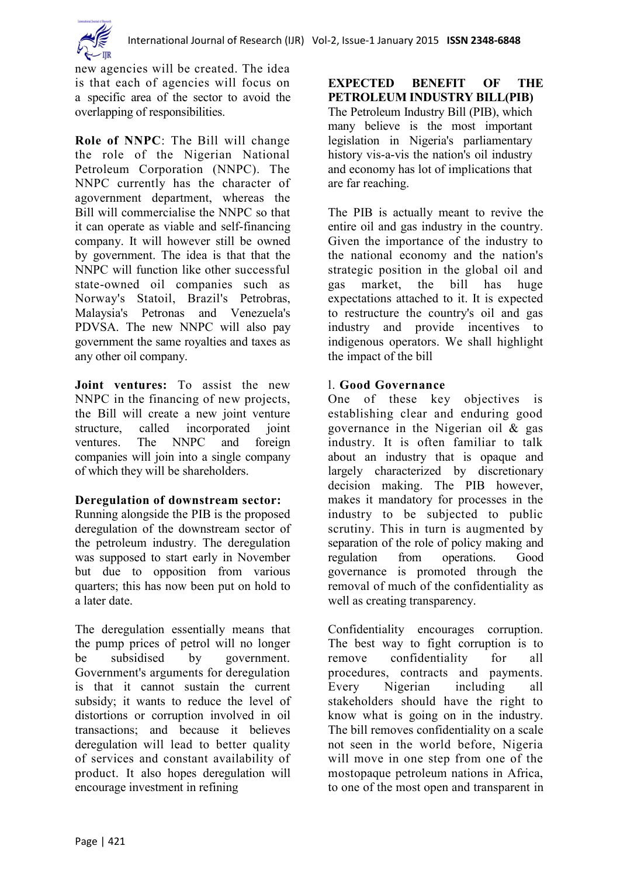

new agencies will be created. The idea is that each of agencies will focus on a specific area of the sector to avoid the overlapping of responsibilities.

**Role of NNPC**: The Bill will change the role of the Nigerian National Petroleum Corporation (NNPC). The NNPC currently has the character of agovernment department, whereas the Bill will commercialise the NNPC so that it can operate as viable and self-financing company. It will however still be owned by government. The idea is that that the NNPC will function like other successful state-owned oil companies such as Norway's Statoil, Brazil's Petrobras, Malaysia's Petronas and Venezuela's PDVSA. The new NNPC will also pay government the same royalties and taxes as any other oil company.

**Joint ventures:** To assist the new NNPC in the financing of new projects, the Bill will create a new joint venture structure, called incorporated joint ventures. The NNPC and foreign companies will join into a single company of which they will be shareholders.

#### **Deregulation of downstream sector:**

Running alongside the PIB is the proposed deregulation of the downstream sector of the petroleum industry. The deregulation was supposed to start early in November but due to opposition from various quarters; this has now been put on hold to a later date.

The deregulation essentially means that the pump prices of petrol will no longer be subsidised by government. Government's arguments for deregulation is that it cannot sustain the current subsidy; it wants to reduce the level of distortions or corruption involved in oil transactions; and because it believes deregulation will lead to better quality of services and constant availability of product. It also hopes deregulation will encourage investment in refining

**EXPECTED BENEFIT OF THE PETROLEUM INDUSTRY BILL(PIB)** The Petroleum Industry Bill (PIB), which many believe is the most important legislation in Nigeria's parliamentary history vis-a-vis the nation's oil industry and economy has lot of implications that are far reaching.

The PIB is actually meant to revive the entire oil and gas industry in the country. Given the importance of the industry to the national economy and the nation's strategic position in the global oil and gas market, the bill has huge expectations attached to it. It is expected to restructure the country's oil and gas industry and provide incentives to indigenous operators. We shall highlight the impact of the bill

# l. **Good Governance**

One of these key objectives is establishing clear and enduring good governance in the Nigerian oil & gas industry. It is often familiar to talk about an industry that is opaque and largely characterized by discretionary decision making. The PIB however, makes it mandatory for processes in the industry to be subjected to public scrutiny. This in turn is augmented by separation of the role of policy making and regulation from operations. Good governance is promoted through the removal of much of the confidentiality as well as creating transparency.

Confidentiality encourages corruption. The best way to fight corruption is to remove confidentiality for all procedures, contracts and payments. Every Nigerian including all stakeholders should have the right to know what is going on in the industry. The bill removes confidentiality on a scale not seen in the world before, Nigeria will move in one step from one of the mostopaque petroleum nations in Africa, to one of the most open and transparent in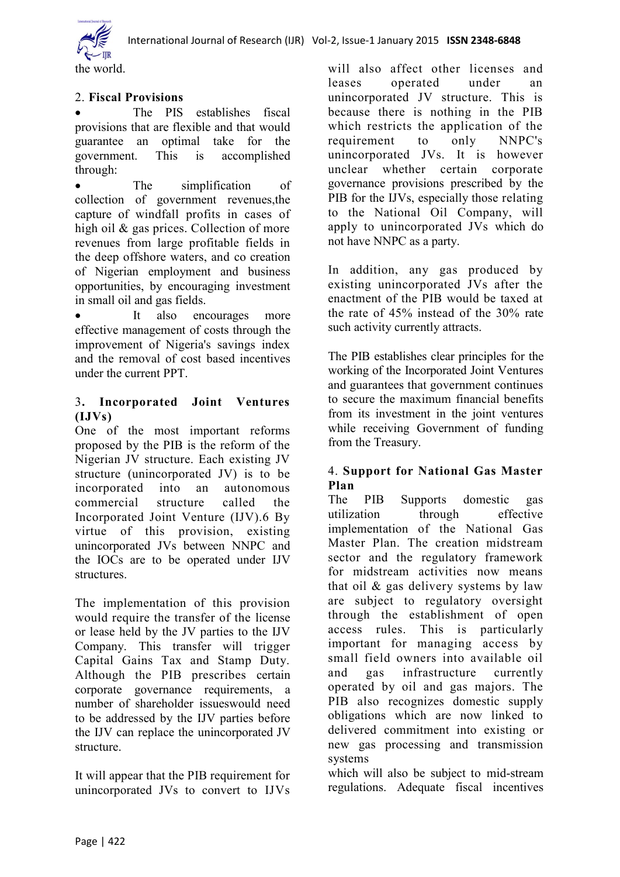

the world.

# 2. **Fiscal Provisions**

 The PIS establishes fiscal provisions that are flexible and that would guarantee an optimal take for the government. This is accomplished through:

 The simplification of collection of government revenues,the capture of windfall profits in cases of high oil & gas prices. Collection of more revenues from large profitable fields in the deep offshore waters, and co creation of Nigerian employment and business opportunities, by encouraging investment in small oil and gas fields.

 It also encourages more effective management of costs through the improvement of Nigeria's savings index and the removal of cost based incentives under the current PPT.

# 3**. Incorporated Joint Ventures (IJVs)**

One of the most important reforms proposed by the PIB is the reform of the Nigerian JV structure. Each existing JV structure (unincorporated JV) is to be incorporated into an autonomous commercial structure called the Incorporated Joint Venture (IJV).6 By virtue of this provision, existing unincorporated JVs between NNPC and the IOCs are to be operated under IJV structures.

The implementation of this provision would require the transfer of the license or lease held by the JV parties to the IJV Company. This transfer will trigger Capital Gains Tax and Stamp Duty. Although the PIB prescribes certain corporate governance requirements, a number of shareholder issueswould need to be addressed by the IJV parties before the IJV can replace the unincorporated JV structure.

It will appear that the PIB requirement for unincorporated JVs to convert to IJVs will also affect other licenses and leases operated under an unincorporated JV structure. This is because there is nothing in the PIB which restricts the application of the requirement to only NNPC's unincorporated JVs. It is however unclear whether certain corporate governance provisions prescribed by the PIB for the IJVs, especially those relating to the National Oil Company, will apply to unincorporated JVs which do not have NNPC as a party.

In addition, any gas produced by existing unincorporated JVs after the enactment of the PIB would be taxed at the rate of 45% instead of the 30% rate such activity currently attracts.

The PIB establishes clear principles for the working of the Incorporated Joint Ventures and guarantees that government continues to secure the maximum financial benefits from its investment in the joint ventures while receiving Government of funding from the Treasury.

# 4. **Support for National Gas Master Plan**

The PIB Supports domestic gas utilization through effective implementation of the National Gas Master Plan. The creation midstream sector and the regulatory framework for midstream activities now means that oil & gas delivery systems by law are subject to regulatory oversight through the establishment of open access rules. This is particularly important for managing access by small field owners into available oil and gas infrastructure currently operated by oil and gas majors. The PIB also recognizes domestic supply obligations which are now linked to delivered commitment into existing or new gas processing and transmission systems

which will also be subject to mid-stream regulations. Adequate fiscal incentives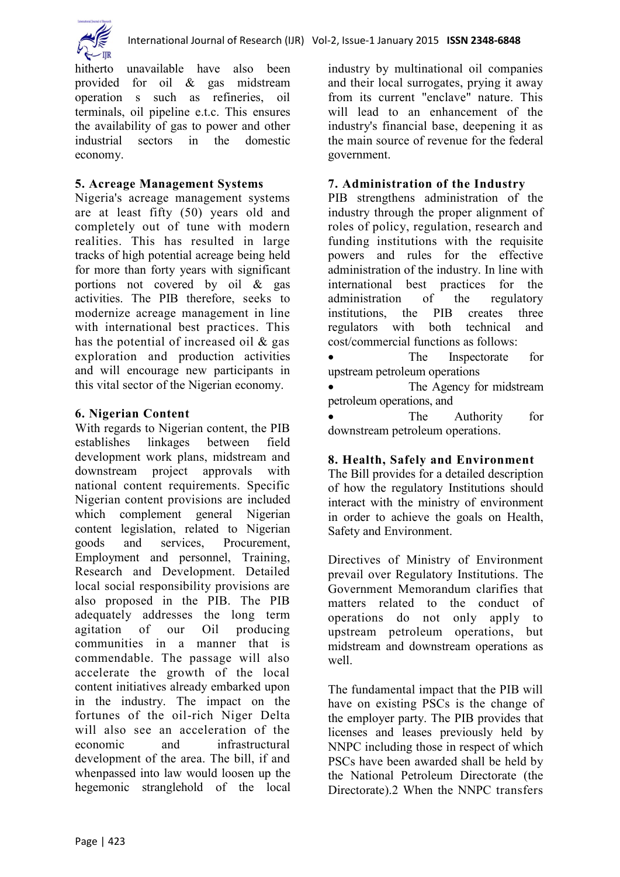



hitherto unavailable have also been provided for oil & gas midstream operation s such as refineries, oil terminals, oil pipeline e.t.c. This ensures the availability of gas to power and other industrial sectors in the domestic economy.

# **5. Acreage Management Systems**

Nigeria's acreage management systems are at least fifty (50) years old and completely out of tune with modern realities. This has resulted in large tracks of high potential acreage being held for more than forty years with significant portions not covered by oil & gas activities. The PIB therefore, seeks to modernize acreage management in line with international best practices. This has the potential of increased oil  $\&$  gas exploration and production activities and will encourage new participants in this vital sector of the Nigerian economy.

#### **6. Nigerian Content**

With regards to Nigerian content, the PIB establishes linkages between field development work plans, midstream and downstream project approvals with national content requirements. Specific Nigerian content provisions are included which complement general Nigerian content legislation, related to Nigerian goods and services, Procurement, Employment and personnel, Training, Research and Development. Detailed local social responsibility provisions are also proposed in the PIB. The PIB adequately addresses the long term agitation of our Oil producing communities in a manner that is commendable. The passage will also accelerate the growth of the local content initiatives already embarked upon in the industry. The impact on the fortunes of the oil-rich Niger Delta will also see an acceleration of the economic and infrastructural development of the area. The bill, if and whenpassed into law would loosen up the hegemonic stranglehold of the local

industry by multinational oil companies and their local surrogates, prying it away from its current "enclave" nature. This will lead to an enhancement of the industry's financial base, deepening it as the main source of revenue for the federal government.

## **7. Administration of the Industry**

PIB strengthens administration of the industry through the proper alignment of roles of policy, regulation, research and funding institutions with the requisite powers and rules for the effective administration of the industry. In line with international best practices for the administration of the regulatory institutions, the PIB creates three regulators with both technical and cost/commercial functions as follows:

 The Inspectorate for upstream petroleum operations

 The Agency for midstream petroleum operations, and

 The Authority for downstream petroleum operations.

#### **8. Health, Safely and Environment**

The Bill provides for a detailed description of how the regulatory Institutions should interact with the ministry of environment in order to achieve the goals on Health, Safety and Environment.

Directives of Ministry of Environment prevail over Regulatory Institutions. The Government Memorandum clarifies that matters related to the conduct of operations do not only apply to upstream petroleum operations, but midstream and downstream operations as well.

The fundamental impact that the PIB will have on existing PSCs is the change of the employer party. The PIB provides that licenses and leases previously held by NNPC including those in respect of which PSCs have been awarded shall be held by the National Petroleum Directorate (the Directorate).2 When the NNPC transfers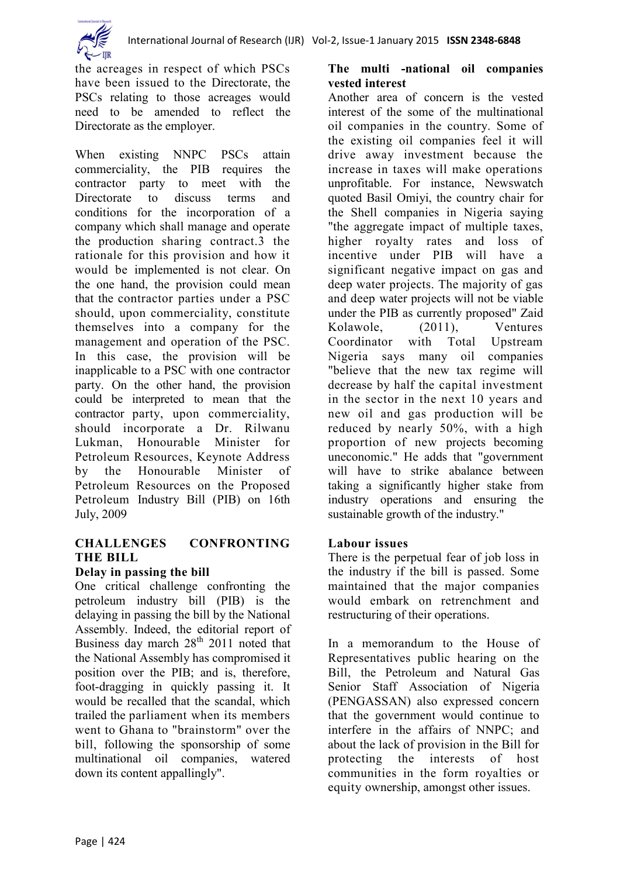

the acreages in respect of which PSCs have been issued to the Directorate, the PSCs relating to those acreages would need to be amended to reflect the Directorate as the employer.

When existing NNPC PSCs attain commerciality, the PIB requires the contractor party to meet with the Directorate to discuss terms and conditions for the incorporation of a company which shall manage and operate the production sharing contract.3 the rationale for this provision and how it would be implemented is not clear. On the one hand, the provision could mean that the contractor parties under a PSC should, upon commerciality, constitute themselves into a company for the management and operation of the PSC. In this case, the provision will be inapplicable to a PSC with one contractor party. On the other hand, the provision could be interpreted to mean that the contractor party, upon commerciality, should incorporate a Dr. Rilwanu Lukman, Honourable Minister for Petroleum Resources, Keynote Address by the Honourable Minister of Petroleum Resources on the Proposed Petroleum Industry Bill (PIB) on 16th July, 2009

# **CHALLENGES CONFRONTING THE BILL**

#### **Delay in passing the bill**

One critical challenge confronting the petroleum industry bill (PIB) is the delaying in passing the bill by the National Assembly. Indeed, the editorial report of Business day march  $28<sup>th</sup>$  2011 noted that the National Assembly has compromised it position over the PIB; and is, therefore, foot-dragging in quickly passing it. It would be recalled that the scandal, which trailed the parliament when its members went to Ghana to "brainstorm" over the bill, following the sponsorship of some multinational oil companies, watered down its content appallingly".

# **The multi -national oil companies vested interest**

Another area of concern is the vested interest of the some of the multinational oil companies in the country. Some of the existing oil companies feel it will drive away investment because the increase in taxes will make operations unprofitable. For instance, Newswatch quoted Basil Omiyi, the country chair for the Shell companies in Nigeria saying "the aggregate impact of multiple taxes, higher royalty rates and loss of incentive under PIB will have a significant negative impact on gas and deep water projects. The majority of gas and deep water projects will not be viable under the PIB as currently proposed" Zaid Kolawole (2011) Ventures Coordinator with Total Upstream Nigeria says many oil companies "believe that the new tax regime will decrease by half the capital investment in the sector in the next 10 years and new oil and gas production will be reduced by nearly 50%, with a high proportion of new projects becoming uneconomic." He adds that "government will have to strike abalance between taking a significantly higher stake from industry operations and ensuring the sustainable growth of the industry."

#### **Labour issues**

There is the perpetual fear of job loss in the industry if the bill is passed. Some maintained that the major companies would embark on retrenchment and restructuring of their operations.

In a memorandum to the House of Representatives public hearing on the Bill, the Petroleum and Natural Gas Senior Staff Association of Nigeria (PENGASSAN) also expressed concern that the government would continue to interfere in the affairs of NNPC; and about the lack of provision in the Bill for protecting the interests of host communities in the form royalties or equity ownership, amongst other issues.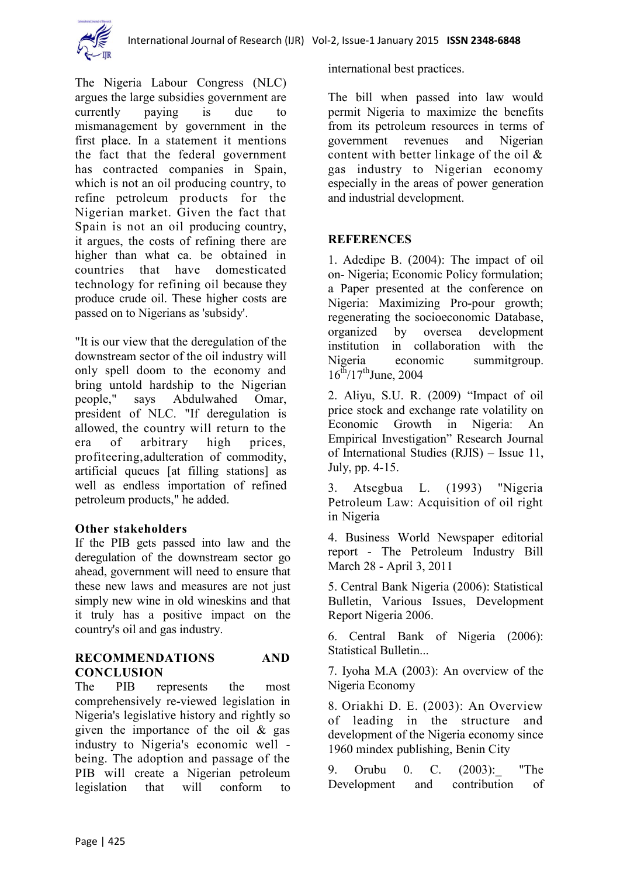

The Nigeria Labour Congress (NLC) argues the large subsidies government are currently paying is due to mismanagement by government in the first place. In a statement it mentions the fact that the federal government has contracted companies in Spain, which is not an oil producing country, to refine petroleum products for the Nigerian market. Given the fact that Spain is not an oil producing country, it argues, the costs of refining there are higher than what ca. be obtained in countries that have domesticated technology for refining oil because they produce crude oil. These higher costs are passed on to Nigerians as 'subsidy'.

"It is our view that the deregulation of the downstream sector of the oil industry will only spell doom to the economy and bring untold hardship to the Nigerian people," says Abdulwahed Omar, president of NLC. "If deregulation is allowed, the country will return to the era of arbitrary high prices, profiteering,adulteration of commodity, artificial queues [at filling stations] as well as endless importation of refined petroleum products," he added.

#### **Other stakeholders**

If the PIB gets passed into law and the deregulation of the downstream sector go ahead, government will need to ensure that these new laws and measures are not just simply new wine in old wineskins and that it truly has a positive impact on the country's oil and gas industry.

#### **RECOMMENDATIONS AND CONCLUSION**

The PIB represents the most comprehensively re-viewed legislation in Nigeria's legislative history and rightly so given the importance of the oil & gas industry to Nigeria's economic well being. The adoption and passage of the PIB will create a Nigerian petroleum legislation that will conform to

international best practices.

The bill when passed into law would permit Nigeria to maximize the benefits from its petroleum resources in terms of government revenues and Nigerian content with better linkage of the oil & gas industry to Nigerian economy especially in the areas of power generation and industrial development.

# **REFERENCES**

1. Adedipe B. (2004): The impact of oil on- Nigeria; Economic Policy formulation; a Paper presented at the conference on Nigeria: Maximizing Pro-pour growth; regenerating the socioeconomic Database, organized by oversea development institution in collaboration with the Nigeria economic summitgroup.  $16^{th}/17^{th}$ June, 2004

2. Aliyu, S.U. R. (2009) "Impact of oil price stock and exchange rate volatility on Economic Growth in Nigeria: An Empirical Investigation" Research Journal of International Studies (RJIS) – Issue 11, July, pp. 4-15.

3. Atsegbua L. (1993) "Nigeria Petroleum Law: Acquisition of oil right in Nigeria

4. Business World Newspaper editorial report - The Petroleum Industry Bill March 28 - April 3, 2011

5. Central Bank Nigeria (2006): Statistical Bulletin, Various Issues, Development Report Nigeria 2006.

6. Central Bank of Nigeria (2006): Statistical Bulletin...

7. Iyoha M.A (2003): An overview of the Nigeria Economy

8. Oriakhi D. E. (2003): An Overview of leading in the structure and development of the Nigeria economy since 1960 mindex publishing, Benin City

9. Orubu 0. C. (2003): "The Development and contribution of